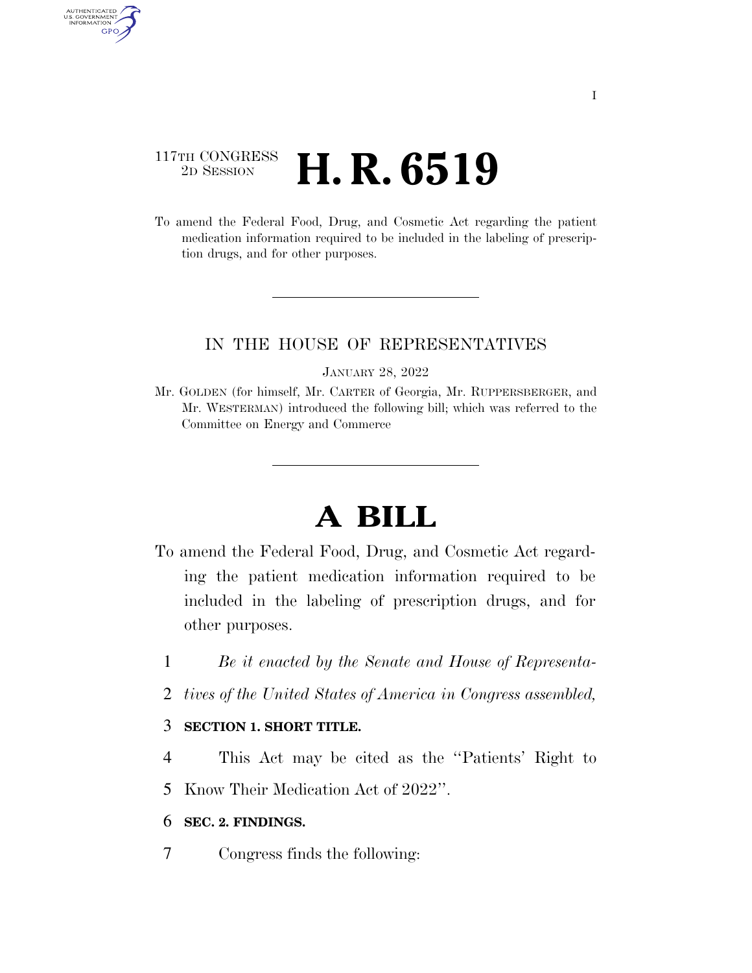### 117TH CONGRESS <sup>2D SESSION</sup> **H. R. 6519**

AUTHENTICATED<br>U.S. GOVERNMENT<br>INFORMATION GPO

> To amend the Federal Food, Drug, and Cosmetic Act regarding the patient medication information required to be included in the labeling of prescription drugs, and for other purposes.

#### IN THE HOUSE OF REPRESENTATIVES

#### JANUARY 28, 2022

Mr. GOLDEN (for himself, Mr. CARTER of Georgia, Mr. RUPPERSBERGER, and Mr. WESTERMAN) introduced the following bill; which was referred to the Committee on Energy and Commerce

# **A BILL**

- To amend the Federal Food, Drug, and Cosmetic Act regarding the patient medication information required to be included in the labeling of prescription drugs, and for other purposes.
	- 1 *Be it enacted by the Senate and House of Representa-*
	- 2 *tives of the United States of America in Congress assembled,*

#### 3 **SECTION 1. SHORT TITLE.**

4 This Act may be cited as the ''Patients' Right to

5 Know Their Medication Act of 2022''.

#### 6 **SEC. 2. FINDINGS.**

7 Congress finds the following: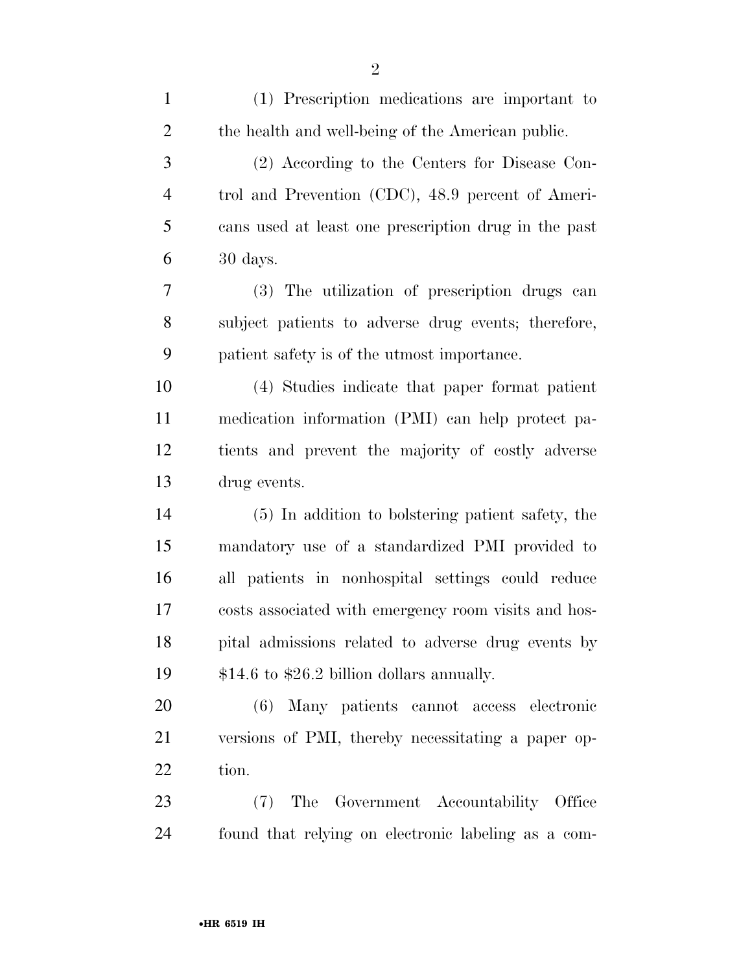| $\mathbf{1}$   | (1) Prescription medications are important to        |
|----------------|------------------------------------------------------|
| $\overline{2}$ | the health and well-being of the American public.    |
| 3              | (2) According to the Centers for Disease Con-        |
| $\overline{4}$ | trol and Prevention (CDC), 48.9 percent of Ameri-    |
| 5              | cans used at least one prescription drug in the past |
| 6              | 30 days.                                             |
| 7              | (3) The utilization of prescription drugs can        |
| 8              | subject patients to adverse drug events; therefore,  |
| 9              | patient safety is of the utmost importance.          |
| 10             | (4) Studies indicate that paper format patient       |
| 11             | medication information (PMI) can help protect pa-    |
| 12             | tients and prevent the majority of costly adverse    |
| 13             | drug events.                                         |
| 14             | (5) In addition to bolstering patient safety, the    |
| 15             | mandatory use of a standardized PMI provided to      |
| 16             | all patients in nonhospital settings could reduce    |
| 17             | costs associated with emergency room visits and hos- |
| 18             | pital admissions related to adverse drug events by   |
| 19             | $$14.6$ to $$26.2$ billion dollars annually.         |
| 20             | (6) Many patients cannot access electronic           |
| 21             | versions of PMI, thereby necessitating a paper op-   |
| 22             | tion.                                                |
| 23             | (7) The Government Accountability Office             |
| 24             | found that relying on electronic labeling as a com-  |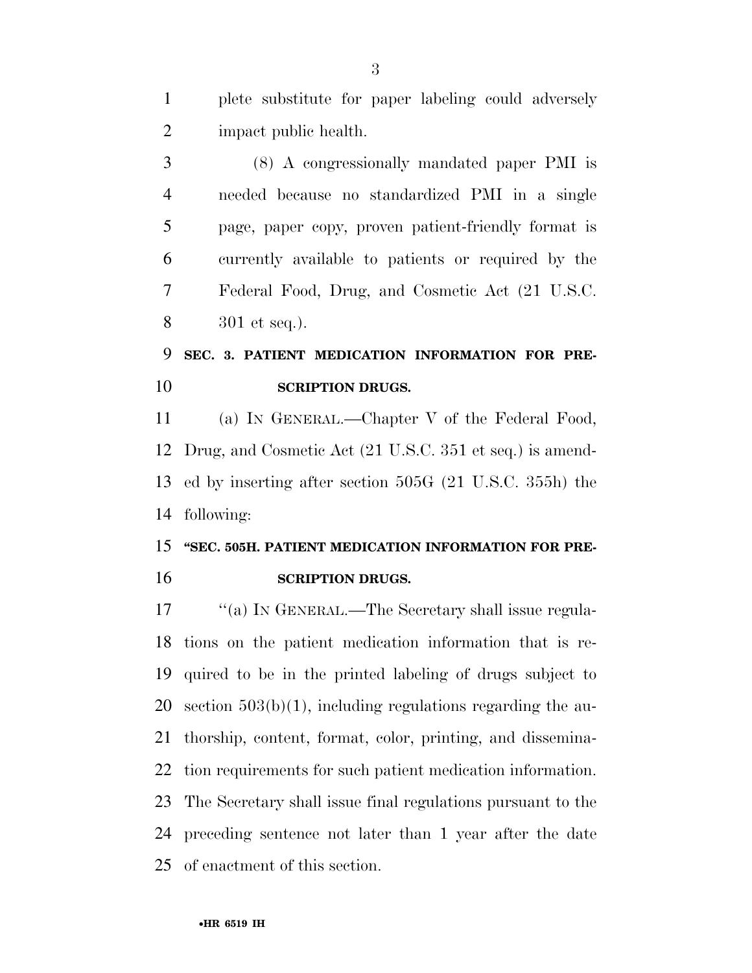plete substitute for paper labeling could adversely impact public health.

 (8) A congressionally mandated paper PMI is needed because no standardized PMI in a single page, paper copy, proven patient-friendly format is currently available to patients or required by the Federal Food, Drug, and Cosmetic Act (21 U.S.C. 301 et seq.).

### **SEC. 3. PATIENT MEDICATION INFORMATION FOR PRE-SCRIPTION DRUGS.**

 (a) IN GENERAL.—Chapter V of the Federal Food, Drug, and Cosmetic Act (21 U.S.C. 351 et seq.) is amend- ed by inserting after section 505G (21 U.S.C. 355h) the following:

## **''SEC. 505H. PATIENT MEDICATION INFORMATION FOR PRE-SCRIPTION DRUGS.**

17 ""(a) IN GENERAL.—The Secretary shall issue regula- tions on the patient medication information that is re- quired to be in the printed labeling of drugs subject to 20 section  $503(b)(1)$ , including regulations regarding the au- thorship, content, format, color, printing, and dissemina- tion requirements for such patient medication information. The Secretary shall issue final regulations pursuant to the preceding sentence not later than 1 year after the date of enactment of this section.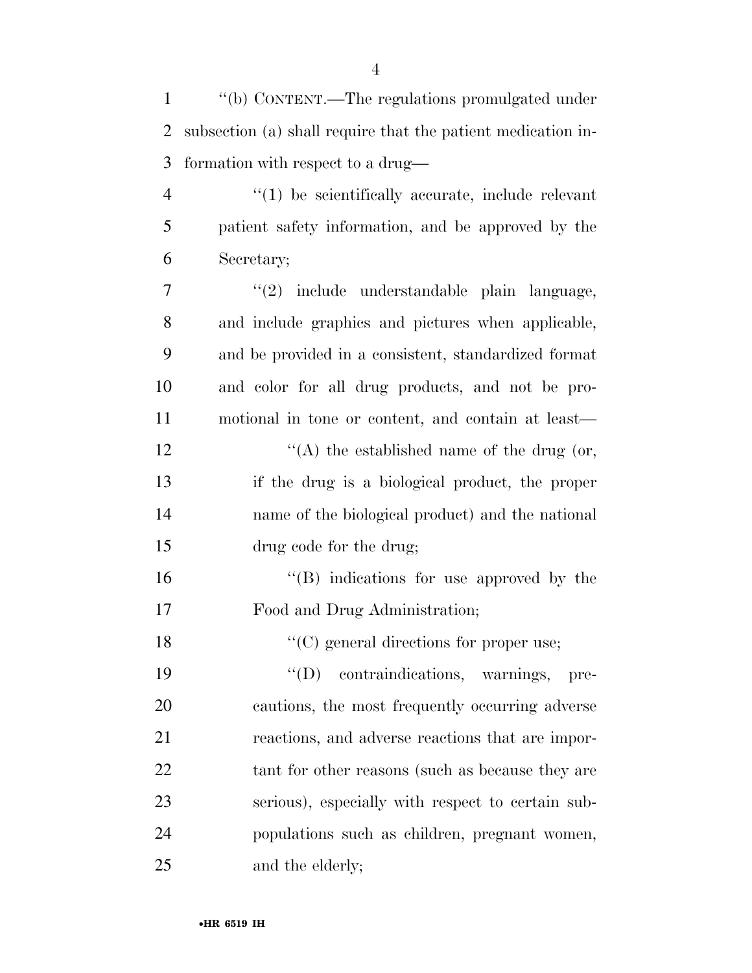| $\mathbf{1}$   | "(b) CONTENT.—The regulations promulgated under              |
|----------------|--------------------------------------------------------------|
| $\overline{2}$ | subsection (a) shall require that the patient medication in- |
| 3              | formation with respect to a drug—                            |
| $\overline{4}$ | $"(1)$ be scientifically accurate, include relevant          |
| 5              | patient safety information, and be approved by the           |
| 6              | Secretary;                                                   |
| 7              | "(2) include understandable plain language,                  |
| 8              | and include graphics and pictures when applicable,           |
| 9              | and be provided in a consistent, standardized format         |
| 10             | and color for all drug products, and not be pro-             |
| 11             | motional in tone or content, and contain at least—           |
| 12             | "(A) the established name of the drug (or,                   |
| 13             | if the drug is a biological product, the proper              |
| 14             | name of the biological product) and the national             |
| 15             | drug code for the drug;                                      |
| 16             | "(B) indications for use approved by the                     |
| 17             | Food and Drug Administration;                                |
| 18             | $\lq\lq$ (C) general directions for proper use;              |
| 19             | $\lq\lq (D)$<br>contraindications, warnings,<br>pre-         |
| 20             | cautions, the most frequently occurring adverse              |
| 21             | reactions, and adverse reactions that are impor-             |
| 22             | tant for other reasons (such as because they are             |
| 23             | serious), especially with respect to certain sub-            |
| 24             | populations such as children, pregnant women,                |
| 25             | and the elderly;                                             |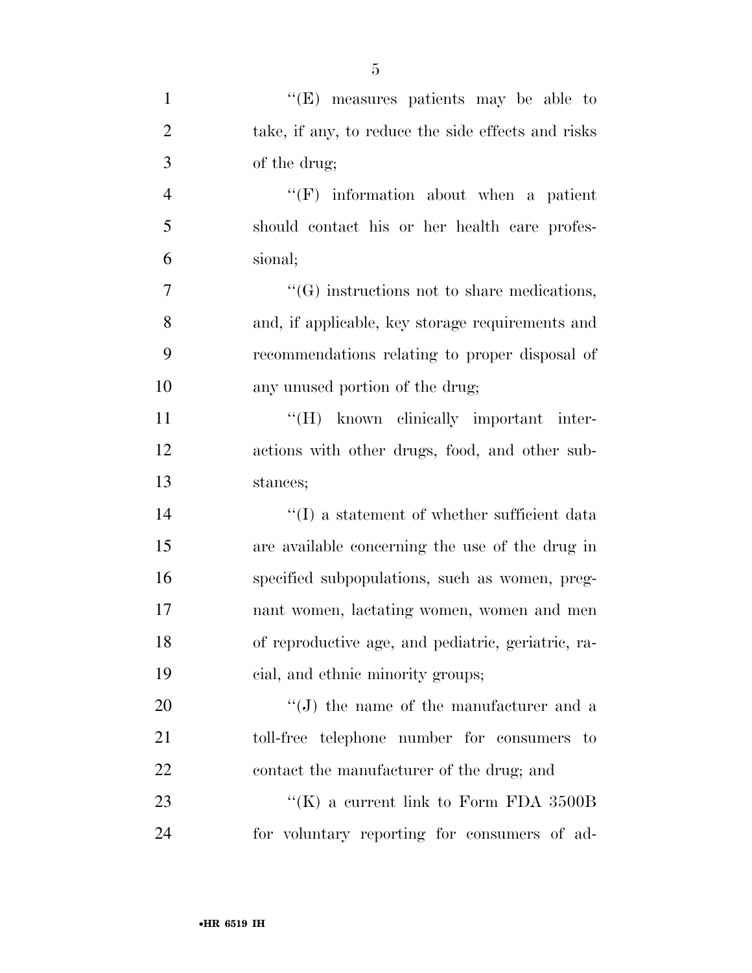| $\mathbf{1}$   | "(E) measures patients may be able to                       |
|----------------|-------------------------------------------------------------|
| $\overline{2}$ | take, if any, to reduce the side effects and risks          |
| 3              | of the drug;                                                |
| $\overline{4}$ | $\lq\lq(F)$ information about when a patient                |
| 5              | should contact his or her health care profes-               |
| 6              | sional;                                                     |
| 7              | $\lq\lq(G)$ instructions not to share medications,          |
| 8              | and, if applicable, key storage requirements and            |
| 9              | recommendations relating to proper disposal of              |
| 10             | any unused portion of the drug;                             |
| 11             | "(H) known clinically important inter-                      |
| 12             | actions with other drugs, food, and other sub-              |
| 13             | stances;                                                    |
| 14             | $\lq\lq(\mathbf{I})$ a statement of whether sufficient data |
| 15             | are available concerning the use of the drug in             |
| 16             | specified subpopulations, such as women, preg-              |
| 17             | nant women, lactating women, women and men                  |
| 18             | of reproductive age, and pediatric, geriatric, ra-          |
| 19             | cial, and ethnic minority groups;                           |
| 20             | $\lq\lq(J)$ the name of the manufacturer and a              |
| 21             | toll-free telephone number for consumers to                 |
| 22             | contact the manufacturer of the drug; and                   |
| 23             | "(K) a current link to Form FDA $3500B$                     |
| 24             | for voluntary reporting for consumers of ad-                |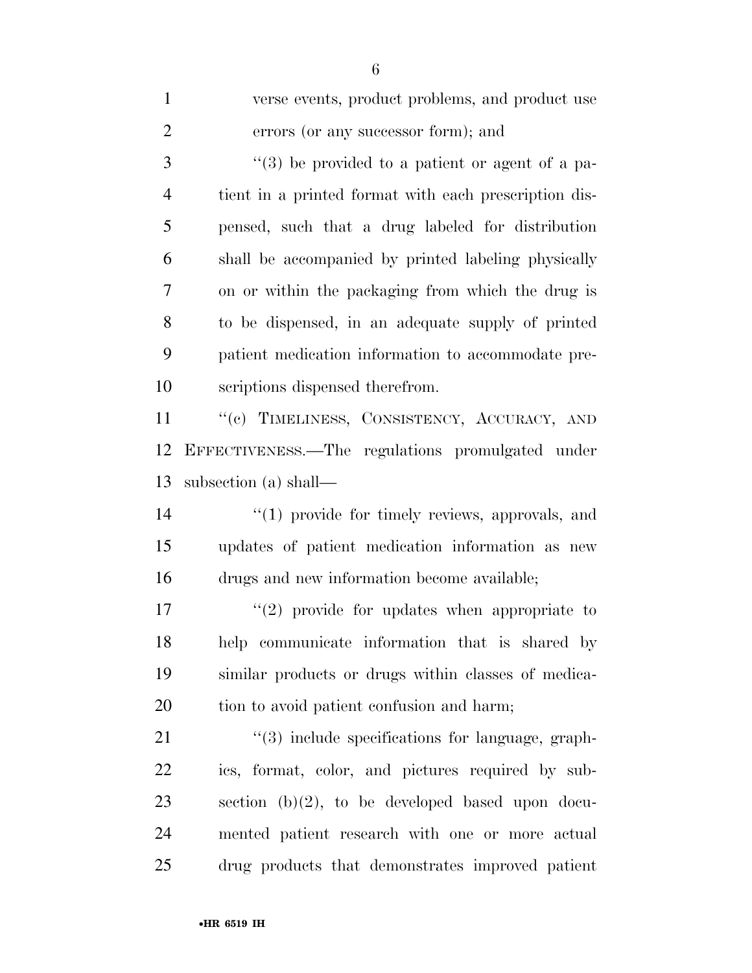| $\mathbf{1}$   | verse events, product problems, and product use       |
|----------------|-------------------------------------------------------|
| $\overline{2}$ | errors (or any successor form); and                   |
| 3              | $\lq(3)$ be provided to a patient or agent of a pa-   |
| $\overline{4}$ | tient in a printed format with each prescription dis- |
| 5              | pensed, such that a drug labeled for distribution     |
| 6              | shall be accompanied by printed labeling physically   |
| 7              | on or within the packaging from which the drug is     |
| 8              | to be dispensed, in an adequate supply of printed     |
| 9              | patient medication information to accommodate pre-    |
| 10             | scriptions dispensed therefrom.                       |
| 11             | "(c) TIMELINESS, CONSISTENCY, ACCURACY, AND           |
| 12             | EFFECTIVENESS.—The regulations promulgated under      |
| 13             | subsection (a) shall—                                 |
| 14             | $\lq(1)$ provide for timely reviews, approvals, and   |
| 15             | updates of patient medication information as new      |
| 16             | drugs and new information become available;           |
| 17             | $\lq(2)$ provide for updates when appropriate to      |
| 18             | help communicate information that is shared by        |
| 19             | similar products or drugs within classes of medica-   |
| 20             | tion to avoid patient confusion and harm;             |
| 21             | $\lq(3)$ include specifications for language, graph-  |
| 22             | ics, format, color, and pictures required by sub-     |
| 23             | section $(b)(2)$ , to be developed based upon docu-   |
| 24             | mented patient research with one or more actual       |
| 25             | drug products that demonstrates improved patient      |